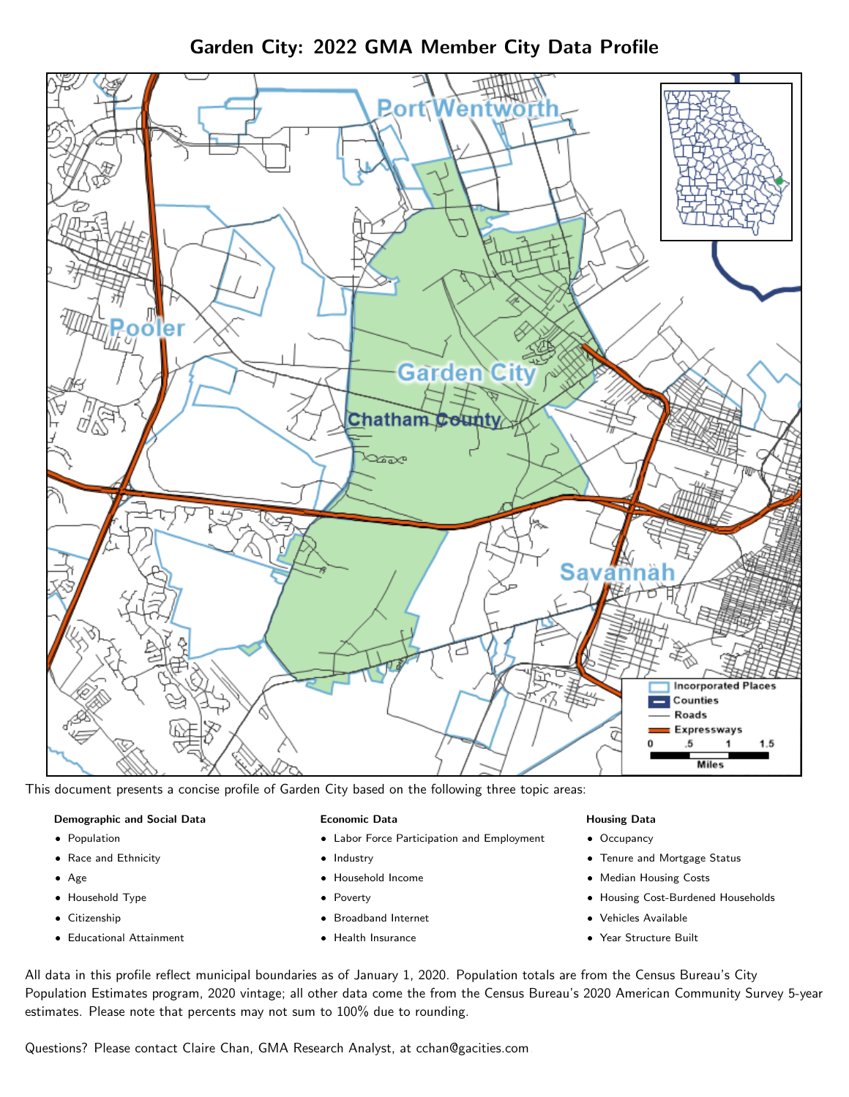Garden City: 2022 GMA Member City Data Profile



This document presents a concise profile of Garden City based on the following three topic areas:

### Demographic and Social Data

- **•** Population
- Race and Ethnicity
- Age
- Household Type
- **Citizenship**
- Educational Attainment

### Economic Data

- Labor Force Participation and Employment
- Industry
- Household Income
- Poverty
- Broadband Internet
- Health Insurance

### Housing Data

- Occupancy
- Tenure and Mortgage Status
- Median Housing Costs
- Housing Cost-Burdened Households
- Vehicles Available
- Year Structure Built

All data in this profile reflect municipal boundaries as of January 1, 2020. Population totals are from the Census Bureau's City Population Estimates program, 2020 vintage; all other data come the from the Census Bureau's 2020 American Community Survey 5-year estimates. Please note that percents may not sum to 100% due to rounding.

Questions? Please contact Claire Chan, GMA Research Analyst, at [cchan@gacities.com.](mailto:cchan@gacities.com)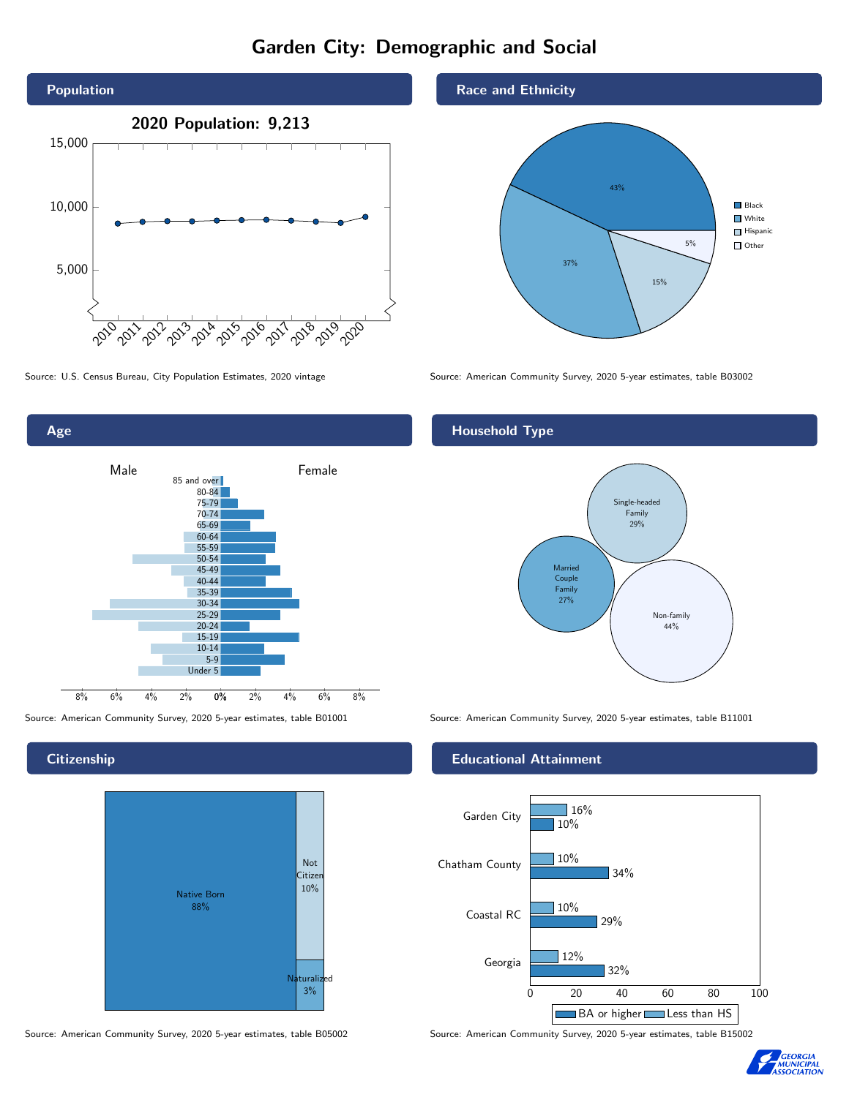# Garden City: Demographic and Social





## **Citizenship**



Source: American Community Survey, 2020 5-year estimates, table B05002 Source: American Community Survey, 2020 5-year estimates, table B15002

### Race and Ethnicity



Source: U.S. Census Bureau, City Population Estimates, 2020 vintage Source: American Community Survey, 2020 5-year estimates, table B03002

## Household Type



Source: American Community Survey, 2020 5-year estimates, table B01001 Source: American Community Survey, 2020 5-year estimates, table B11001

### Educational Attainment



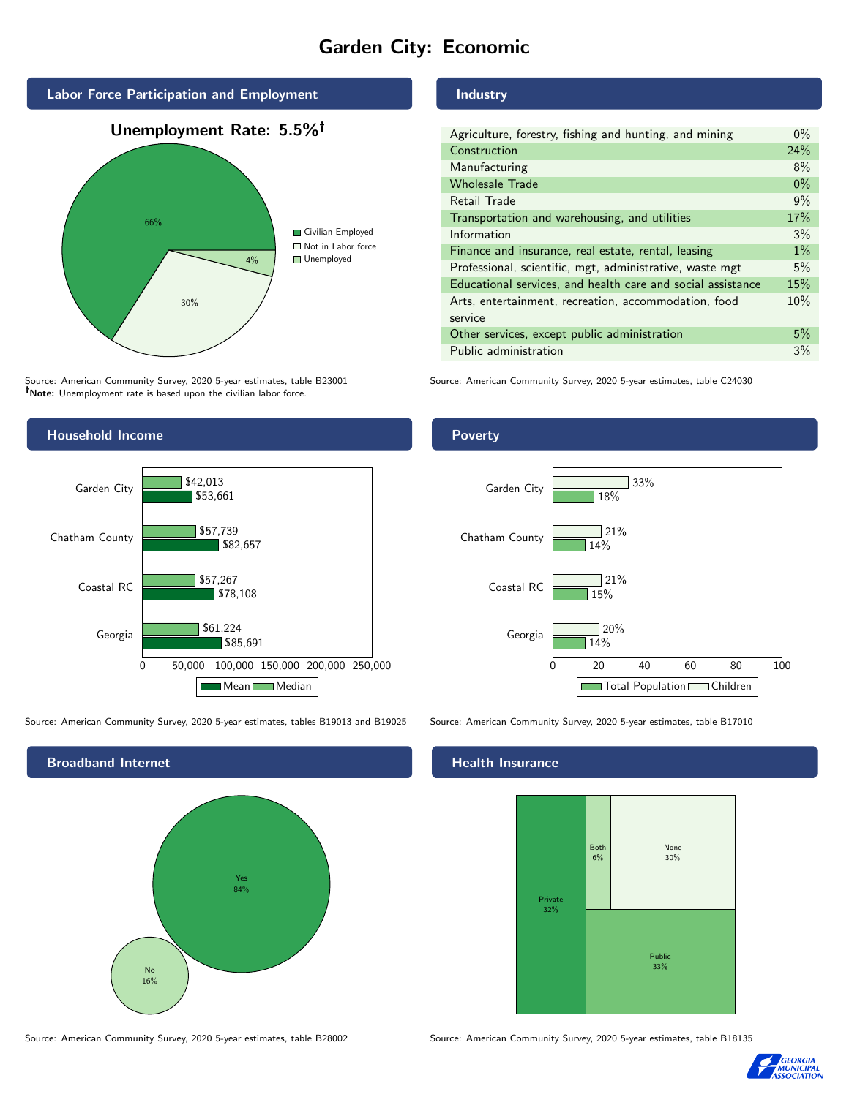# Garden City: Economic



Source: American Community Survey, 2020 5-year estimates, table B23001 Note: Unemployment rate is based upon the civilian labor force.

### Industry

| Agriculture, forestry, fishing and hunting, and mining      | $0\%$ |
|-------------------------------------------------------------|-------|
| Construction                                                | 24%   |
| Manufacturing                                               | 8%    |
| <b>Wholesale Trade</b>                                      | $0\%$ |
| Retail Trade                                                | 9%    |
| Transportation and warehousing, and utilities               | 17%   |
| Information                                                 | 3%    |
| Finance and insurance, real estate, rental, leasing         | $1\%$ |
| Professional, scientific, mgt, administrative, waste mgt    | 5%    |
| Educational services, and health care and social assistance | 15%   |
| Arts, entertainment, recreation, accommodation, food        | 10%   |
| service                                                     |       |
| Other services, except public administration                | 5%    |
| Public administration                                       | 3%    |

Source: American Community Survey, 2020 5-year estimates, table C24030



Source: American Community Survey, 2020 5-year estimates, tables B19013 and B19025 Source: American Community Survey, 2020 5-year estimates, table B17010

Broadband Internet No 16% Yes 84%

14%

 $120%$ 

21%

 $721%$ 

15%

14%

18%

33%

### Health Insurance

Georgia

Coastal RC



0 20 40 60 80 100

Total Population Children

Source: American Community Survey, 2020 5-year estimates, table B28002 Source: American Community Survey, 2020 5-year estimates, table B18135